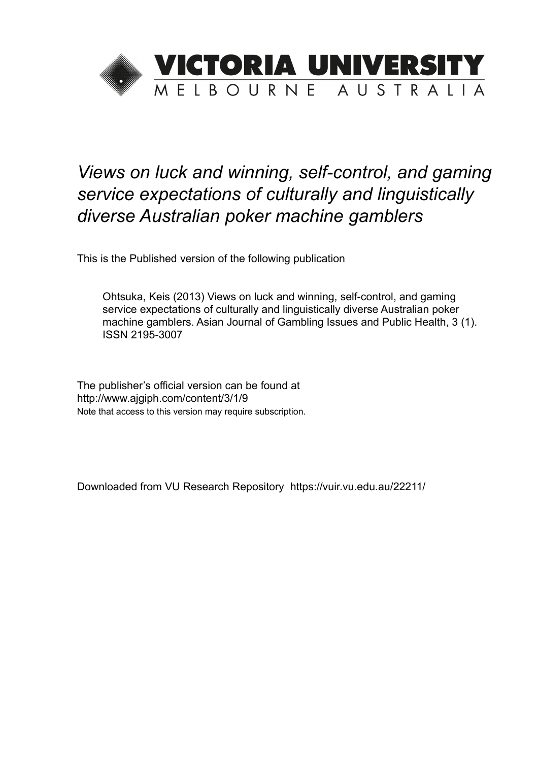

# *Views on luck and winning, self-control, and gaming service expectations of culturally and linguistically diverse Australian poker machine gamblers*

This is the Published version of the following publication

Ohtsuka, Keis (2013) Views on luck and winning, self-control, and gaming service expectations of culturally and linguistically diverse Australian poker machine gamblers. Asian Journal of Gambling Issues and Public Health, 3 (1). ISSN 2195-3007

The publisher's official version can be found at http://www.ajgiph.com/content/3/1/9 Note that access to this version may require subscription.

Downloaded from VU Research Repository https://vuir.vu.edu.au/22211/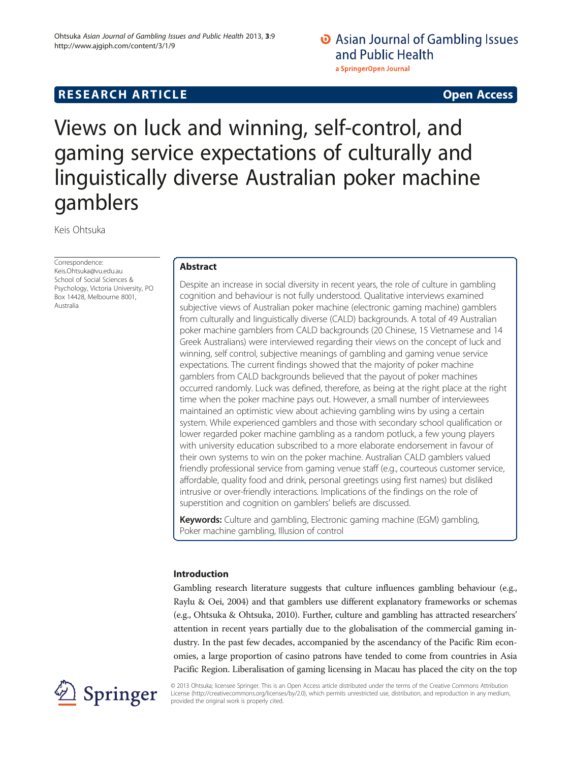## **RESEARCH ARTICLE Example 2014 12:30 The SEAR CHA RTICLE**

# Views on luck and winning, self-control, and gaming service expectations of culturally and linguistically diverse Australian poker machine gamblers

Keis Ohtsuka

Correspondence:

Keis.Ohtsuka@vu.edu.au School of Social Sciences & Psychology, Victoria University, PO Box 14428, Melbourne 8001, Australia

### Abstract

Despite an increase in social diversity in recent years, the role of culture in gambling cognition and behaviour is not fully understood. Qualitative interviews examined subjective views of Australian poker machine (electronic gaming machine) gamblers from culturally and linguistically diverse (CALD) backgrounds. A total of 49 Australian poker machine gamblers from CALD backgrounds (20 Chinese, 15 Vietnamese and 14 Greek Australians) were interviewed regarding their views on the concept of luck and winning, self control, subjective meanings of gambling and gaming venue service expectations. The current findings showed that the majority of poker machine gamblers from CALD backgrounds believed that the payout of poker machines occurred randomly. Luck was defined, therefore, as being at the right place at the right time when the poker machine pays out. However, a small number of interviewees maintained an optimistic view about achieving gambling wins by using a certain system. While experienced gamblers and those with secondary school qualification or lower regarded poker machine gambling as a random potluck, a few young players with university education subscribed to a more elaborate endorsement in favour of their own systems to win on the poker machine. Australian CALD gamblers valued friendly professional service from gaming venue staff (e.g., courteous customer service, affordable, quality food and drink, personal greetings using first names) but disliked intrusive or over-friendly interactions. Implications of the findings on the role of superstition and cognition on gamblers' beliefs are discussed.

Keywords: Culture and gambling, Electronic gaming machine (EGM) gambling, Poker machine gambling, Illusion of control

#### Introduction

Gambling research literature suggests that culture influences gambling behaviour (e.g., Raylu & Oei, [2004\)](#page-17-0) and that gamblers use different explanatory frameworks or schemas (e.g., Ohtsuka & Ohtsuka, [2010\)](#page-17-0). Further, culture and gambling has attracted researchers' attention in recent years partially due to the globalisation of the commercial gaming industry. In the past few decades, accompanied by the ascendancy of the Pacific Rim economies, a large proportion of casino patrons have tended to come from countries in Asia Pacific Region. Liberalisation of gaming licensing in Macau has placed the city on the top



© 2013 Ohtsuka; licensee Springer. This is an Open Access article distributed under the terms of the Creative Commons Attribution License [\(http://creativecommons.org/licenses/by/2.0\)](http://creativecommons.org/licenses/by/2.0), which permits unrestricted use, distribution, and reproduction in any medium, provided the original work is properly cited.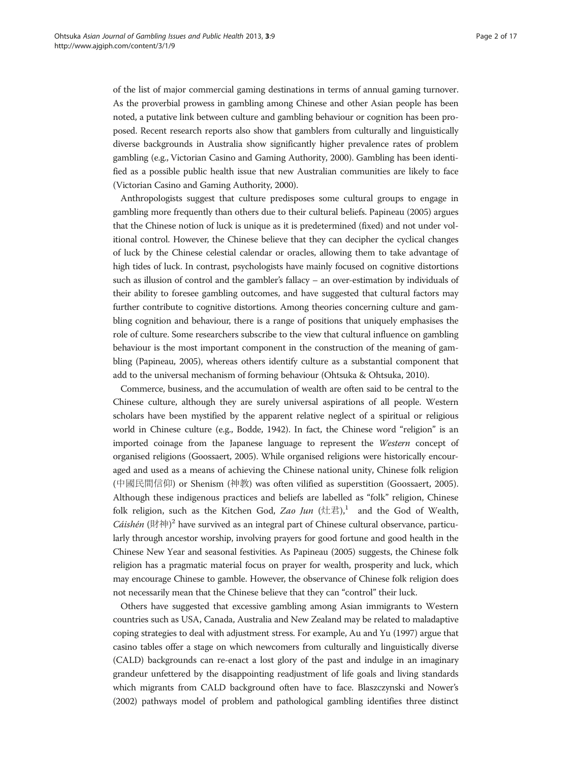of the list of major commercial gaming destinations in terms of annual gaming turnover. As the proverbial prowess in gambling among Chinese and other Asian people has been noted, a putative link between culture and gambling behaviour or cognition has been proposed. Recent research reports also show that gamblers from culturally and linguistically diverse backgrounds in Australia show significantly higher prevalence rates of problem gambling (e.g., Victorian Casino and Gaming Authority, [2000](#page-17-0)). Gambling has been identified as a possible public health issue that new Australian communities are likely to face (Victorian Casino and Gaming Authority, [2000](#page-17-0)).

Anthropologists suggest that culture predisposes some cultural groups to engage in gambling more frequently than others due to their cultural beliefs. Papineau (2005) argues that the Chinese notion of luck is unique as it is predetermined (fixed) and not under volitional control. However, the Chinese believe that they can decipher the cyclical changes of luck by the Chinese celestial calendar or oracles, allowing them to take advantage of high tides of luck. In contrast, psychologists have mainly focused on cognitive distortions such as illusion of control and the gambler's fallacy – an over-estimation by individuals of their ability to foresee gambling outcomes, and have suggested that cultural factors may further contribute to cognitive distortions. Among theories concerning culture and gambling cognition and behaviour, there is a range of positions that uniquely emphasises the role of culture. Some researchers subscribe to the view that cultural influence on gambling behaviour is the most important component in the construction of the meaning of gambling (Papineau, 2005), whereas others identify culture as a substantial component that add to the universal mechanism of forming behaviour (Ohtsuka & Ohtsuka, [2010](#page-17-0)).

Commerce, business, and the accumulation of wealth are often said to be central to the Chinese culture, although they are surely universal aspirations of all people. Western scholars have been mystified by the apparent relative neglect of a spiritual or religious world in Chinese culture (e.g., Bodde, [1942](#page-16-0)). In fact, the Chinese word "religion" is an imported coinage from the Japanese language to represent the Western concept of organised religions (Goossaert, [2005\)](#page-17-0). While organised religions were historically encouraged and used as a means of achieving the Chinese national unity, Chinese folk religion (中國民間信仰) or Shenism (神教) was often vilified as superstition (Goossaert, [2005](#page-17-0)). Although these indigenous practices and beliefs are labelled as "folk" religion, Chinese folk religion, such as the Kitchen God, Zao Jun  $(\pm \pm i)^{1}$  and the God of Wealth, Cáishén (財神)<sup>2</sup> have survived as an integral part of Chinese cultural observance, particularly through ancestor worship, involving prayers for good fortune and good health in the Chinese New Year and seasonal festivities. As Papineau (2005) suggests, the Chinese folk religion has a pragmatic material focus on prayer for wealth, prosperity and luck, which may encourage Chinese to gamble. However, the observance of Chinese folk religion does not necessarily mean that the Chinese believe that they can "control" their luck.

Others have suggested that excessive gambling among Asian immigrants to Western countries such as USA, Canada, Australia and New Zealand may be related to maladaptive coping strategies to deal with adjustment stress. For example, Au and Yu [\(1997\)](#page-16-0) argue that casino tables offer a stage on which newcomers from culturally and linguistically diverse (CALD) backgrounds can re-enact a lost glory of the past and indulge in an imaginary grandeur unfettered by the disappointing readjustment of life goals and living standards which migrants from CALD background often have to face. Blaszczynski and Nower's ([2002\)](#page-16-0) pathways model of problem and pathological gambling identifies three distinct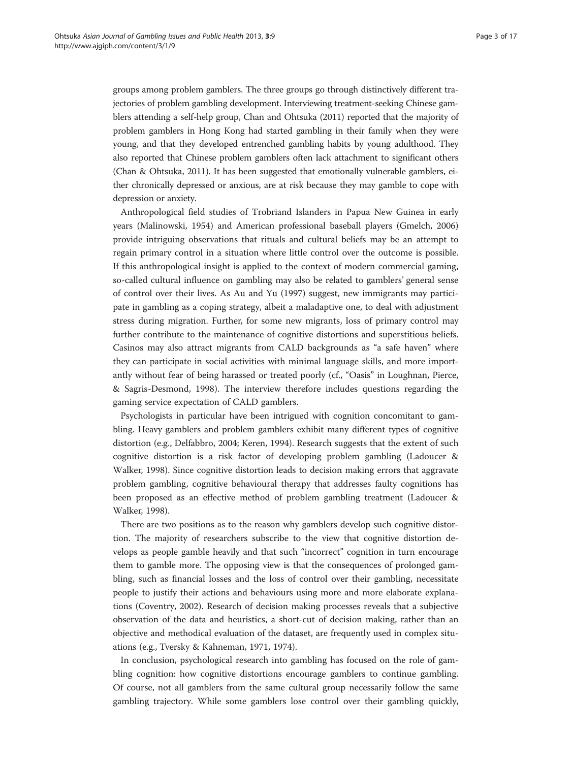groups among problem gamblers. The three groups go through distinctively different trajectories of problem gambling development. Interviewing treatment-seeking Chinese gamblers attending a self-help group, Chan and Ohtsuka [\(2011\)](#page-16-0) reported that the majority of problem gamblers in Hong Kong had started gambling in their family when they were young, and that they developed entrenched gambling habits by young adulthood. They also reported that Chinese problem gamblers often lack attachment to significant others (Chan & Ohtsuka, [2011](#page-16-0)). It has been suggested that emotionally vulnerable gamblers, either chronically depressed or anxious, are at risk because they may gamble to cope with depression or anxiety.

Anthropological field studies of Trobriand Islanders in Papua New Guinea in early years (Malinowski, [1954](#page-17-0)) and American professional baseball players (Gmelch, [2006](#page-16-0)) provide intriguing observations that rituals and cultural beliefs may be an attempt to regain primary control in a situation where little control over the outcome is possible. If this anthropological insight is applied to the context of modern commercial gaming, so-called cultural influence on gambling may also be related to gamblers' general sense of control over their lives. As Au and Yu ([1997](#page-16-0)) suggest, new immigrants may participate in gambling as a coping strategy, albeit a maladaptive one, to deal with adjustment stress during migration. Further, for some new migrants, loss of primary control may further contribute to the maintenance of cognitive distortions and superstitious beliefs. Casinos may also attract migrants from CALD backgrounds as "a safe haven" where they can participate in social activities with minimal language skills, and more importantly without fear of being harassed or treated poorly (cf., "Oasis" in Loughnan, Pierce, & Sagris-Desmond, [1998](#page-17-0)). The interview therefore includes questions regarding the gaming service expectation of CALD gamblers.

Psychologists in particular have been intrigued with cognition concomitant to gambling. Heavy gamblers and problem gamblers exhibit many different types of cognitive distortion (e.g., Delfabbro, [2004;](#page-16-0) Keren, [1994](#page-17-0)). Research suggests that the extent of such cognitive distortion is a risk factor of developing problem gambling (Ladoucer & Walker, [1998\)](#page-17-0). Since cognitive distortion leads to decision making errors that aggravate problem gambling, cognitive behavioural therapy that addresses faulty cognitions has been proposed as an effective method of problem gambling treatment (Ladoucer & Walker, [1998](#page-17-0)).

There are two positions as to the reason why gamblers develop such cognitive distortion. The majority of researchers subscribe to the view that cognitive distortion develops as people gamble heavily and that such "incorrect" cognition in turn encourage them to gamble more. The opposing view is that the consequences of prolonged gambling, such as financial losses and the loss of control over their gambling, necessitate people to justify their actions and behaviours using more and more elaborate explanations (Coventry, [2002\)](#page-16-0). Research of decision making processes reveals that a subjective observation of the data and heuristics, a short-cut of decision making, rather than an objective and methodical evaluation of the dataset, are frequently used in complex situations (e.g., Tversky & Kahneman, [1971](#page-17-0), [1974](#page-17-0)).

In conclusion, psychological research into gambling has focused on the role of gambling cognition: how cognitive distortions encourage gamblers to continue gambling. Of course, not all gamblers from the same cultural group necessarily follow the same gambling trajectory. While some gamblers lose control over their gambling quickly,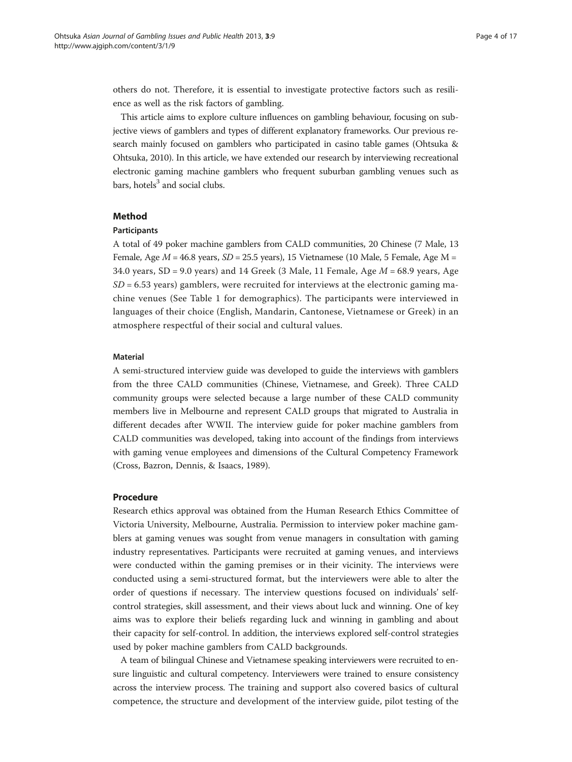others do not. Therefore, it is essential to investigate protective factors such as resilience as well as the risk factors of gambling.

This article aims to explore culture influences on gambling behaviour, focusing on subjective views of gamblers and types of different explanatory frameworks. Our previous research mainly focused on gamblers who participated in casino table games (Ohtsuka & Ohtsuka, [2010\)](#page-17-0). In this article, we have extended our research by interviewing recreational electronic gaming machine gamblers who frequent suburban gambling venues such as bars, hotels $3$  and social clubs.

#### Method

#### Participants

A total of 49 poker machine gamblers from CALD communities, 20 Chinese (7 Male, 13 Female, Age  $M = 46.8$  years,  $SD = 25.5$  years), 15 Vietnamese (10 Male, 5 Female, Age M = 34.0 years,  $SD = 9.0$  years) and 14 Greek (3 Male, 11 Female, Age  $M = 68.9$  years, Age  $SD = 6.53$  years) gamblers, were recruited for interviews at the electronic gaming machine venues (See Table [1](#page-5-0) for demographics). The participants were interviewed in languages of their choice (English, Mandarin, Cantonese, Vietnamese or Greek) in an atmosphere respectful of their social and cultural values.

#### Material

A semi-structured interview guide was developed to guide the interviews with gamblers from the three CALD communities (Chinese, Vietnamese, and Greek). Three CALD community groups were selected because a large number of these CALD community members live in Melbourne and represent CALD groups that migrated to Australia in different decades after WWII. The interview guide for poker machine gamblers from CALD communities was developed, taking into account of the findings from interviews with gaming venue employees and dimensions of the Cultural Competency Framework (Cross, Bazron, Dennis, & Isaacs, [1989](#page-16-0)).

#### Procedure

Research ethics approval was obtained from the Human Research Ethics Committee of Victoria University, Melbourne, Australia. Permission to interview poker machine gamblers at gaming venues was sought from venue managers in consultation with gaming industry representatives. Participants were recruited at gaming venues, and interviews were conducted within the gaming premises or in their vicinity. The interviews were conducted using a semi-structured format, but the interviewers were able to alter the order of questions if necessary. The interview questions focused on individuals' selfcontrol strategies, skill assessment, and their views about luck and winning. One of key aims was to explore their beliefs regarding luck and winning in gambling and about their capacity for self-control. In addition, the interviews explored self-control strategies used by poker machine gamblers from CALD backgrounds.

A team of bilingual Chinese and Vietnamese speaking interviewers were recruited to ensure linguistic and cultural competency. Interviewers were trained to ensure consistency across the interview process. The training and support also covered basics of cultural competence, the structure and development of the interview guide, pilot testing of the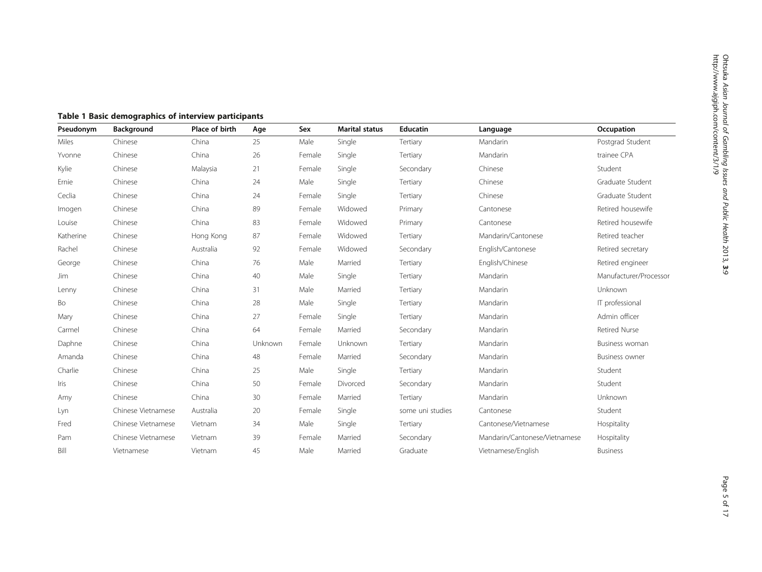| Pseudonym | <b>Background</b>  | Place of birth | Age     | Sex    | <b>Marital status</b> | <b>Educatin</b>  | Language                      | Occupation             |
|-----------|--------------------|----------------|---------|--------|-----------------------|------------------|-------------------------------|------------------------|
| Miles     | Chinese            | China          | 25      | Male   | Single                | Tertiary         | Mandarin                      | Postgrad Student       |
| Yvonne    | Chinese            | China          | 26      | Female | Single                | Tertiary         | Mandarin                      | trainee CPA            |
| Kylie     | Chinese            | Malaysia       | 21      | Female | Single                | Secondary        | Chinese                       | Student                |
| Ernie     | Chinese            | China          | 24      | Male   | Single                | Tertiary         | Chinese                       | Graduate Student       |
| Ceclia    | Chinese            | China          | 24      | Female | Single                | Tertiary         | Chinese                       | Graduate Student       |
| Imogen    | Chinese            | China          | 89      | Female | Widowed               | Primary          | Cantonese                     | Retired housewife      |
| Louise    | Chinese            | China          | 83      | Female | Widowed               | Primary          | Cantonese                     | Retired housewife      |
| Katherine | Chinese            | Hong Kong      | 87      | Female | Widowed               | Tertiary         | Mandarin/Cantonese            | Retired teacher        |
| Rachel    | Chinese            | Australia      | 92      | Female | Widowed               | Secondary        | English/Cantonese             | Retired secretary      |
| George    | Chinese            | China          | 76      | Male   | Married               | Tertiary         | English/Chinese               | Retired engineer       |
| Jim       | Chinese            | China          | 40      | Male   | Single                | Tertiary         | Mandarin                      | Manufacturer/Processor |
| Lenny     | Chinese            | China          | 31      | Male   | Married               | Tertiary         | Mandarin                      | Unknown                |
| Bo        | Chinese            | China          | 28      | Male   | Single                | Tertiary         | Mandarin                      | IT professional        |
| Mary      | Chinese            | China          | 27      | Female | Single                | Tertiary         | Mandarin                      | Admin officer          |
| Carmel    | Chinese            | China          | 64      | Female | Married               | Secondary        | Mandarin                      | <b>Retired Nurse</b>   |
| Daphne    | Chinese            | China          | Unknown | Female | Unknown               | Tertiary         | Mandarin                      | Business woman         |
| Amanda    | Chinese            | China          | 48      | Female | Married               | Secondary        | Mandarin                      | <b>Business owner</b>  |
| Charlie   | Chinese            | China          | 25      | Male   | Single                | Tertiary         | Mandarin                      | Student                |
| Iris      | Chinese            | China          | 50      | Female | Divorced              | Secondary        | Mandarin                      | Student                |
| Amy       | Chinese            | China          | 30      | Female | Married               | Tertiary         | Mandarin                      | Unknown                |
| Lyn       | Chinese Vietnamese | Australia      | 20      | Female | Single                | some uni studies | Cantonese                     | Student                |
| Fred      | Chinese Vietnamese | Vietnam        | 34      | Male   | Single                | Tertiary         | Cantonese/Vietnamese          | Hospitality            |
| Pam       | Chinese Vietnamese | Vietnam        | 39      | Female | Married               | Secondary        | Mandarin/Cantonese/Vietnamese | Hospitality            |
| Bill      | Vietnamese         | Vietnam        | 45      | Male   | Married               | Graduate         | Vietnamese/English            | <b>Business</b>        |

<span id="page-5-0"></span>Table 1 Basic demographics of interview participants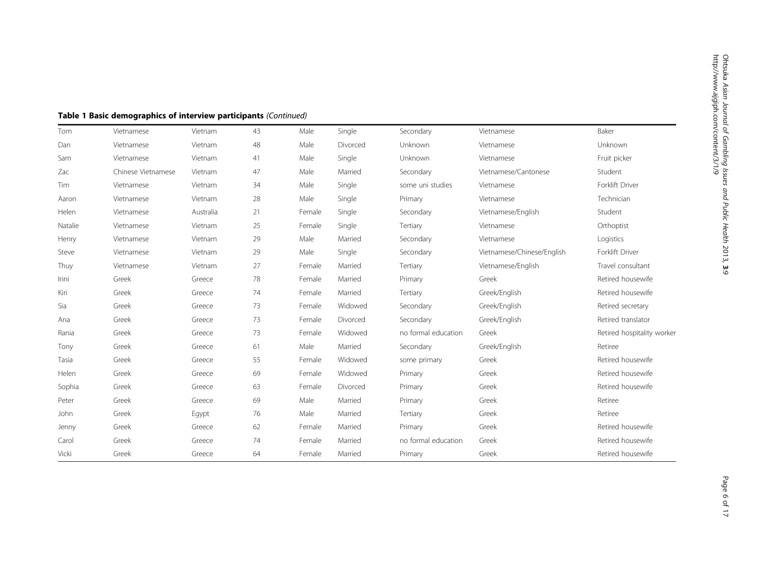## Table 1 Basic demographics of interview participants (Continued)

| Tom     | Vietnamese         | Vietnam   | 43 | Male   | Single   | Secondary           | Vietnamese                 | Baker                      |
|---------|--------------------|-----------|----|--------|----------|---------------------|----------------------------|----------------------------|
| Dan     | Vietnamese         | Vietnam   | 48 | Male   | Divorced | Unknown             | Vietnamese                 | Unknown                    |
| Sam     | Vietnamese         | Vietnam   | 41 | Male   | Single   | Unknown             | Vietnamese                 | Fruit picker               |
| Zac     | Chinese Vietnamese | Vietnam   | 47 | Male   | Married  | Secondary           | Vietnamese/Cantonese       | Student                    |
| Tim     | Vietnamese         | Vietnam   | 34 | Male   | Single   | some uni studies    | Vietnamese                 | Forklift Driver            |
| Aaron   | Vietnamese         | Vietnam   | 28 | Male   | Single   | Primary             | Vietnamese                 | Technician                 |
| Helen   | Vietnamese         | Australia | 21 | Female | Single   | Secondary           | Vietnamese/English         | Student                    |
| Natalie | Vietnamese         | Vietnam   | 25 | Female | Single   | Tertiary            | Vietnamese                 | Orthoptist                 |
| Henry   | Vietnamese         | Vietnam   | 29 | Male   | Married  | Secondary           | Vietnamese                 | Logistics                  |
| Steve   | Vietnamese         | Vietnam   | 29 | Male   | Single   | Secondary           | Vietnamese/Chinese/English | Forklift Driver            |
| Thuy    | Vietnamese         | Vietnam   | 27 | Female | Married  | Tertiary            | Vietnamese/English         | Travel consultant          |
| Irini   | Greek              | Greece    | 78 | Female | Married  | Primary             | Greek                      | Retired housewife          |
| Kiri    | Greek              | Greece    | 74 | Female | Married  | Tertiary            | Greek/English              | Retired housewife          |
| Sia     | Greek              | Greece    | 73 | Female | Widowed  | Secondary           | Greek/English              | Retired secretary          |
| Ana     | Greek              | Greece    | 73 | Female | Divorced | Secondary           | Greek/English              | Retired translator         |
| Rania   | Greek              | Greece    | 73 | Female | Widowed  | no formal education | Greek                      | Retired hospitality worker |
| Tony    | Greek              | Greece    | 61 | Male   | Married  | Secondary           | Greek/English              | Retiree                    |
| Tasia   | Greek              | Greece    | 55 | Female | Widowed  | some primary        | Greek                      | Retired housewife          |
| Helen   | Greek              | Greece    | 69 | Female | Widowed  | Primary             | Greek                      | Retired housewife          |
| Sophia  | Greek              | Greece    | 63 | Female | Divorced | Primary             | Greek                      | Retired housewife          |
| Peter   | Greek              | Greece    | 69 | Male   | Married  | Primary             | Greek                      | Retiree                    |
| John    | Greek              | Eqypt     | 76 | Male   | Married  | Tertiary            | Greek                      | Retiree                    |
| Jenny   | Greek              | Greece    | 62 | Female | Married  | Primary             | Greek                      | Retired housewife          |
| Carol   | Greek              | Greece    | 74 | Female | Married  | no formal education | Greek                      | Retired housewife          |
| Vicki   | Greek              | Greece    | 64 | Female | Married  | Primary             | Greek                      | Retired housewife          |
|         |                    |           |    |        |          |                     |                            |                            |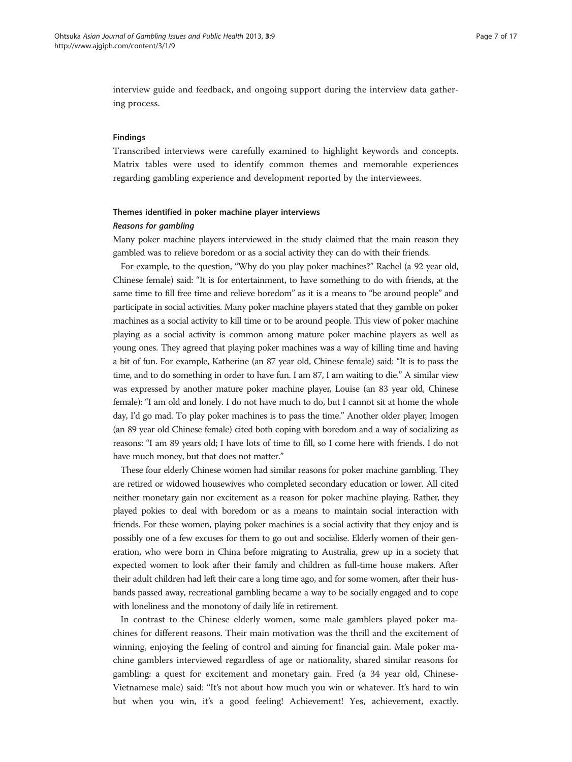interview guide and feedback, and ongoing support during the interview data gathering process.

#### Findings

Transcribed interviews were carefully examined to highlight keywords and concepts. Matrix tables were used to identify common themes and memorable experiences regarding gambling experience and development reported by the interviewees.

#### Themes identified in poker machine player interviews

Many poker machine players interviewed in the study claimed that the main reason they gambled was to relieve boredom or as a social activity they can do with their friends.

For example, to the question, "Why do you play poker machines?" Rachel (a 92 year old, Chinese female) said: "It is for entertainment, to have something to do with friends, at the same time to fill free time and relieve boredom" as it is a means to "be around people" and participate in social activities. Many poker machine players stated that they gamble on poker machines as a social activity to kill time or to be around people. This view of poker machine playing as a social activity is common among mature poker machine players as well as young ones. They agreed that playing poker machines was a way of killing time and having a bit of fun. For example, Katherine (an 87 year old, Chinese female) said: "It is to pass the time, and to do something in order to have fun. I am 87, I am waiting to die." A similar view was expressed by another mature poker machine player, Louise (an 83 year old, Chinese female): "I am old and lonely. I do not have much to do, but I cannot sit at home the whole day, I'd go mad. To play poker machines is to pass the time." Another older player, Imogen (an 89 year old Chinese female) cited both coping with boredom and a way of socializing as reasons: "I am 89 years old; I have lots of time to fill, so I come here with friends. I do not have much money, but that does not matter."

These four elderly Chinese women had similar reasons for poker machine gambling. They are retired or widowed housewives who completed secondary education or lower. All cited neither monetary gain nor excitement as a reason for poker machine playing. Rather, they played pokies to deal with boredom or as a means to maintain social interaction with friends. For these women, playing poker machines is a social activity that they enjoy and is possibly one of a few excuses for them to go out and socialise. Elderly women of their generation, who were born in China before migrating to Australia, grew up in a society that expected women to look after their family and children as full-time house makers. After their adult children had left their care a long time ago, and for some women, after their husbands passed away, recreational gambling became a way to be socially engaged and to cope with loneliness and the monotony of daily life in retirement.

In contrast to the Chinese elderly women, some male gamblers played poker machines for different reasons. Their main motivation was the thrill and the excitement of winning, enjoying the feeling of control and aiming for financial gain. Male poker machine gamblers interviewed regardless of age or nationality, shared similar reasons for gambling: a quest for excitement and monetary gain. Fred (a 34 year old, Chinese-Vietnamese male) said: "It's not about how much you win or whatever. It's hard to win but when you win, it's a good feeling! Achievement! Yes, achievement, exactly.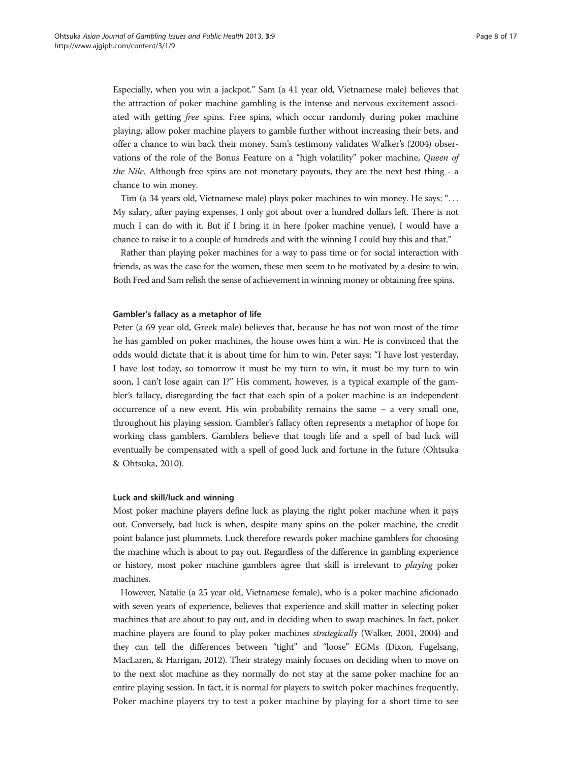Especially, when you win a jackpot." Sam (a 41 year old, Vietnamese male) believes that the attraction of poker machine gambling is the intense and nervous excitement associated with getting free spins. Free spins, which occur randomly during poker machine playing, allow poker machine players to gamble further without increasing their bets, and offer a chance to win back their money. Sam's testimony validates Walker's [\(2004](#page-17-0)) observations of the role of the Bonus Feature on a "high volatility" poker machine, Queen of the Nile. Although free spins are not monetary payouts, they are the next best thing - a chance to win money.

Tim (a 34 years old, Vietnamese male) plays poker machines to win money. He says: "... My salary, after paying expenses, I only got about over a hundred dollars left. There is not much I can do with it. But if I bring it in here (poker machine venue), I would have a chance to raise it to a couple of hundreds and with the winning I could buy this and that."

Rather than playing poker machines for a way to pass time or for social interaction with friends, as was the case for the women, these men seem to be motivated by a desire to win. Both Fred and Sam relish the sense of achievement in winning money or obtaining free spins.

#### Gambler's fallacy as a metaphor of life

Peter (a 69 year old, Greek male) believes that, because he has not won most of the time he has gambled on poker machines, the house owes him a win. He is convinced that the odds would dictate that it is about time for him to win. Peter says: "I have lost yesterday, I have lost today, so tomorrow it must be my turn to win, it must be my turn to win soon, I can't lose again can I?" His comment, however, is a typical example of the gambler's fallacy, disregarding the fact that each spin of a poker machine is an independent occurrence of a new event. His win probability remains the same – a very small one, throughout his playing session. Gambler's fallacy often represents a metaphor of hope for working class gamblers. Gamblers believe that tough life and a spell of bad luck will eventually be compensated with a spell of good luck and fortune in the future (Ohtsuka & Ohtsuka, [2010](#page-17-0)).

#### Luck and skill/luck and winning

Most poker machine players define luck as playing the right poker machine when it pays out. Conversely, bad luck is when, despite many spins on the poker machine, the credit point balance just plummets. Luck therefore rewards poker machine gamblers for choosing the machine which is about to pay out. Regardless of the difference in gambling experience or history, most poker machine gamblers agree that skill is irrelevant to *playing* poker machines.

However, Natalie (a 25 year old, Vietnamese female), who is a poker machine aficionado with seven years of experience, believes that experience and skill matter in selecting poker machines that are about to pay out, and in deciding when to swap machines. In fact, poker machine players are found to play poker machines strategically (Walker, [2001, 2004](#page-17-0)) and they can tell the differences between "tight" and "loose" EGMs (Dixon, Fugelsang, MacLaren, & Harrigan, [2012\)](#page-16-0). Their strategy mainly focuses on deciding when to move on to the next slot machine as they normally do not stay at the same poker machine for an entire playing session. In fact, it is normal for players to switch poker machines frequently. Poker machine players try to test a poker machine by playing for a short time to see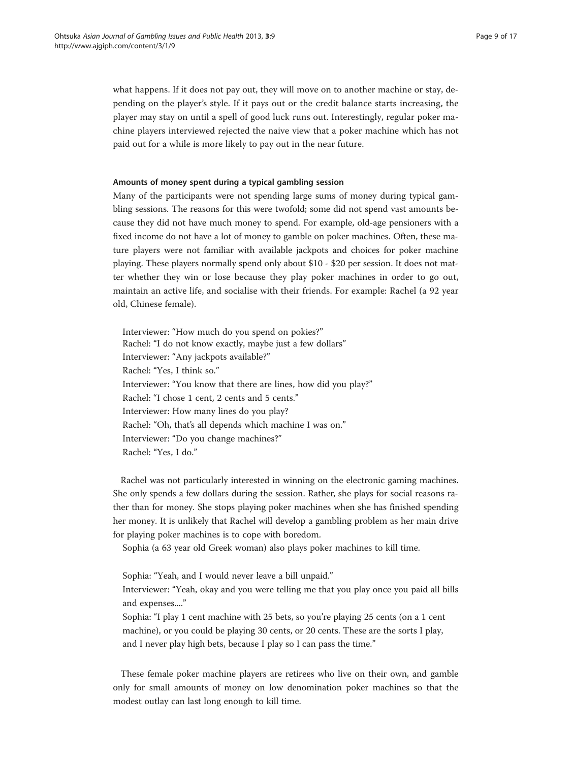what happens. If it does not pay out, they will move on to another machine or stay, depending on the player's style. If it pays out or the credit balance starts increasing, the player may stay on until a spell of good luck runs out. Interestingly, regular poker machine players interviewed rejected the naive view that a poker machine which has not paid out for a while is more likely to pay out in the near future.

#### Amounts of money spent during a typical gambling session

Many of the participants were not spending large sums of money during typical gambling sessions. The reasons for this were twofold; some did not spend vast amounts because they did not have much money to spend. For example, old-age pensioners with a fixed income do not have a lot of money to gamble on poker machines. Often, these mature players were not familiar with available jackpots and choices for poker machine playing. These players normally spend only about \$10 - \$20 per session. It does not matter whether they win or lose because they play poker machines in order to go out, maintain an active life, and socialise with their friends. For example: Rachel (a 92 year old, Chinese female).

Interviewer: "How much do you spend on pokies?" Rachel: "I do not know exactly, maybe just a few dollars" Interviewer: "Any jackpots available?" Rachel: "Yes, I think so." Interviewer: "You know that there are lines, how did you play?" Rachel: "I chose 1 cent, 2 cents and 5 cents." Interviewer: How many lines do you play? Rachel: "Oh, that's all depends which machine I was on." Interviewer: "Do you change machines?" Rachel: "Yes, I do."

Rachel was not particularly interested in winning on the electronic gaming machines. She only spends a few dollars during the session. Rather, she plays for social reasons rather than for money. She stops playing poker machines when she has finished spending her money. It is unlikely that Rachel will develop a gambling problem as her main drive for playing poker machines is to cope with boredom.

Sophia (a 63 year old Greek woman) also plays poker machines to kill time.

Sophia: "Yeah, and I would never leave a bill unpaid."

Interviewer: "Yeah, okay and you were telling me that you play once you paid all bills and expenses...."

Sophia: "I play 1 cent machine with 25 bets, so you're playing 25 cents (on a 1 cent machine), or you could be playing 30 cents, or 20 cents. These are the sorts I play, and I never play high bets, because I play so I can pass the time."

These female poker machine players are retirees who live on their own, and gamble only for small amounts of money on low denomination poker machines so that the modest outlay can last long enough to kill time.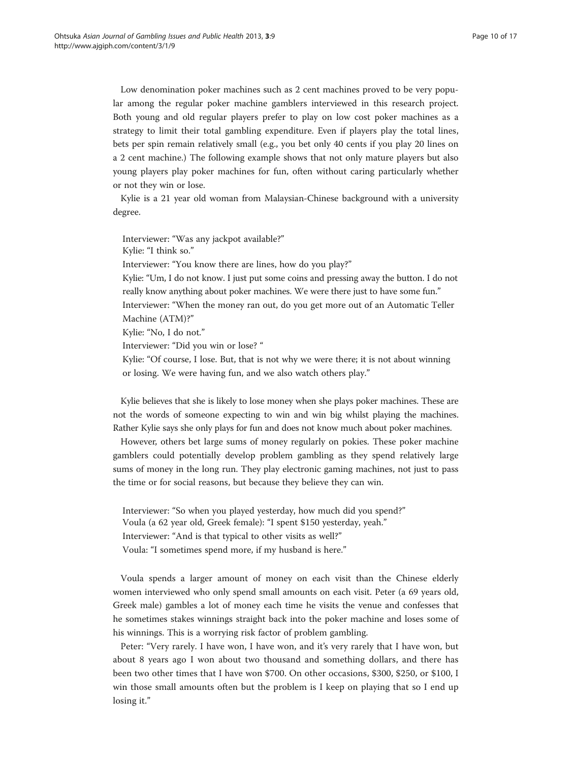Low denomination poker machines such as 2 cent machines proved to be very popular among the regular poker machine gamblers interviewed in this research project. Both young and old regular players prefer to play on low cost poker machines as a strategy to limit their total gambling expenditure. Even if players play the total lines, bets per spin remain relatively small (e.g., you bet only 40 cents if you play 20 lines on a 2 cent machine.) The following example shows that not only mature players but also young players play poker machines for fun, often without caring particularly whether or not they win or lose.

Kylie is a 21 year old woman from Malaysian-Chinese background with a university degree.

Interviewer: "Was any jackpot available?" Kylie: "I think so."

Interviewer: "You know there are lines, how do you play?"

Kylie: "Um, I do not know. I just put some coins and pressing away the button. I do not really know anything about poker machines. We were there just to have some fun." Interviewer: "When the money ran out, do you get more out of an Automatic Teller Machine (ATM)?"

Kylie: "No, I do not."

Interviewer: "Did you win or lose? "

Kylie: "Of course, I lose. But, that is not why we were there; it is not about winning or losing. We were having fun, and we also watch others play."

Kylie believes that she is likely to lose money when she plays poker machines. These are not the words of someone expecting to win and win big whilst playing the machines. Rather Kylie says she only plays for fun and does not know much about poker machines.

However, others bet large sums of money regularly on pokies. These poker machine gamblers could potentially develop problem gambling as they spend relatively large sums of money in the long run. They play electronic gaming machines, not just to pass the time or for social reasons, but because they believe they can win.

Interviewer: "So when you played yesterday, how much did you spend?" Voula (a 62 year old, Greek female): "I spent \$150 yesterday, yeah." Interviewer: "And is that typical to other visits as well?" Voula: "I sometimes spend more, if my husband is here."

Voula spends a larger amount of money on each visit than the Chinese elderly women interviewed who only spend small amounts on each visit. Peter (a 69 years old, Greek male) gambles a lot of money each time he visits the venue and confesses that he sometimes stakes winnings straight back into the poker machine and loses some of his winnings. This is a worrying risk factor of problem gambling.

Peter: "Very rarely. I have won, I have won, and it's very rarely that I have won, but about 8 years ago I won about two thousand and something dollars, and there has been two other times that I have won \$700. On other occasions, \$300, \$250, or \$100, I win those small amounts often but the problem is I keep on playing that so I end up losing it."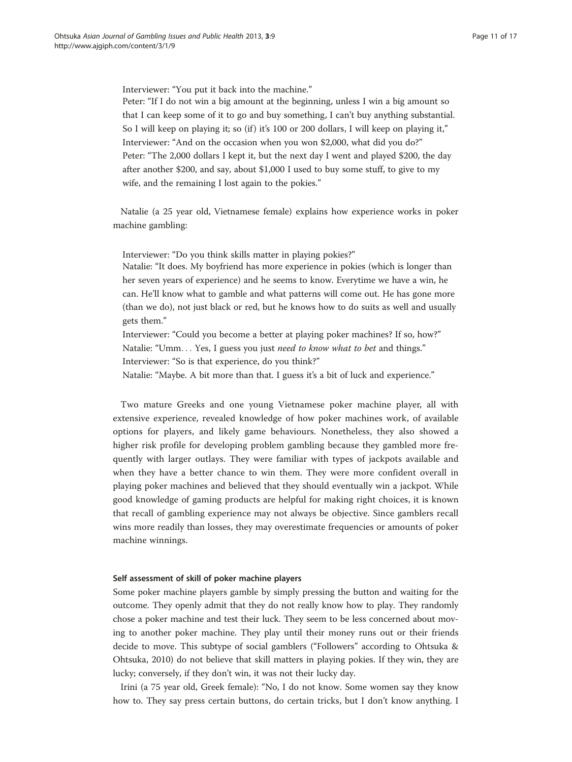Interviewer: "You put it back into the machine."

Peter: "If I do not win a big amount at the beginning, unless I win a big amount so that I can keep some of it to go and buy something, I can't buy anything substantial. So I will keep on playing it; so (if) it's 100 or 200 dollars, I will keep on playing it," Interviewer: "And on the occasion when you won \$2,000, what did you do?" Peter: "The 2,000 dollars I kept it, but the next day I went and played \$200, the day after another \$200, and say, about \$1,000 I used to buy some stuff, to give to my wife, and the remaining I lost again to the pokies."

Natalie (a 25 year old, Vietnamese female) explains how experience works in poker machine gambling:

Interviewer: "Do you think skills matter in playing pokies?"

Natalie: "It does. My boyfriend has more experience in pokies (which is longer than her seven years of experience) and he seems to know. Everytime we have a win, he can. He'll know what to gamble and what patterns will come out. He has gone more (than we do), not just black or red, but he knows how to do suits as well and usually gets them."

Interviewer: "Could you become a better at playing poker machines? If so, how?" Natalie: "Umm... Yes, I guess you just need to know what to bet and things." Interviewer: "So is that experience, do you think?"

Natalie: "Maybe. A bit more than that. I guess it's a bit of luck and experience."

Two mature Greeks and one young Vietnamese poker machine player, all with extensive experience, revealed knowledge of how poker machines work, of available options for players, and likely game behaviours. Nonetheless, they also showed a higher risk profile for developing problem gambling because they gambled more frequently with larger outlays. They were familiar with types of jackpots available and when they have a better chance to win them. They were more confident overall in playing poker machines and believed that they should eventually win a jackpot. While good knowledge of gaming products are helpful for making right choices, it is known that recall of gambling experience may not always be objective. Since gamblers recall wins more readily than losses, they may overestimate frequencies or amounts of poker machine winnings.

#### Self assessment of skill of poker machine players

Some poker machine players gamble by simply pressing the button and waiting for the outcome. They openly admit that they do not really know how to play. They randomly chose a poker machine and test their luck. They seem to be less concerned about moving to another poker machine. They play until their money runs out or their friends decide to move. This subtype of social gamblers ("Followers" according to Ohtsuka & Ohtsuka, [2010\)](#page-17-0) do not believe that skill matters in playing pokies. If they win, they are lucky; conversely, if they don't win, it was not their lucky day.

Irini (a 75 year old, Greek female): "No, I do not know. Some women say they know how to. They say press certain buttons, do certain tricks, but I don't know anything. I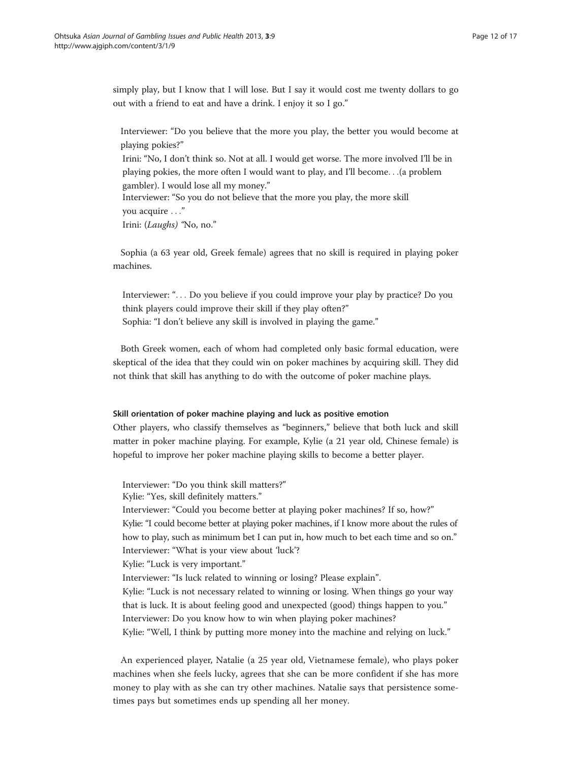simply play, but I know that I will lose. But I say it would cost me twenty dollars to go out with a friend to eat and have a drink. I enjoy it so I go."

Interviewer: "Do you believe that the more you play, the better you would become at playing pokies?"

Irini: "No, I don't think so. Not at all. I would get worse. The more involved I'll be in playing pokies, the more often I would want to play, and I'll become...(a problem gambler). I would lose all my money." Interviewer: "So you do not believe that the more you play, the more skill you acquire ..."

Irini: (Laughs) "No, no."

Sophia (a 63 year old, Greek female) agrees that no skill is required in playing poker machines.

Interviewer: "... Do you believe if you could improve your play by practice? Do you think players could improve their skill if they play often?" Sophia: "I don't believe any skill is involved in playing the game."

Both Greek women, each of whom had completed only basic formal education, were skeptical of the idea that they could win on poker machines by acquiring skill. They did not think that skill has anything to do with the outcome of poker machine plays.

#### Skill orientation of poker machine playing and luck as positive emotion

Other players, who classify themselves as "beginners," believe that both luck and skill matter in poker machine playing. For example, Kylie (a 21 year old, Chinese female) is hopeful to improve her poker machine playing skills to become a better player.

Interviewer: "Do you think skill matters?" Kylie: "Yes, skill definitely matters." Interviewer: "Could you become better at playing poker machines? If so, how?" Kylie: "I could become better at playing poker machines, if I know more about the rules of how to play, such as minimum bet I can put in, how much to bet each time and so on." Interviewer: "What is your view about 'luck'? Kylie: "Luck is very important." Interviewer: "Is luck related to winning or losing? Please explain".

Kylie: "Luck is not necessary related to winning or losing. When things go your way that is luck. It is about feeling good and unexpected (good) things happen to you." Interviewer: Do you know how to win when playing poker machines?

Kylie: "Well, I think by putting more money into the machine and relying on luck."

An experienced player, Natalie (a 25 year old, Vietnamese female), who plays poker machines when she feels lucky, agrees that she can be more confident if she has more money to play with as she can try other machines. Natalie says that persistence sometimes pays but sometimes ends up spending all her money.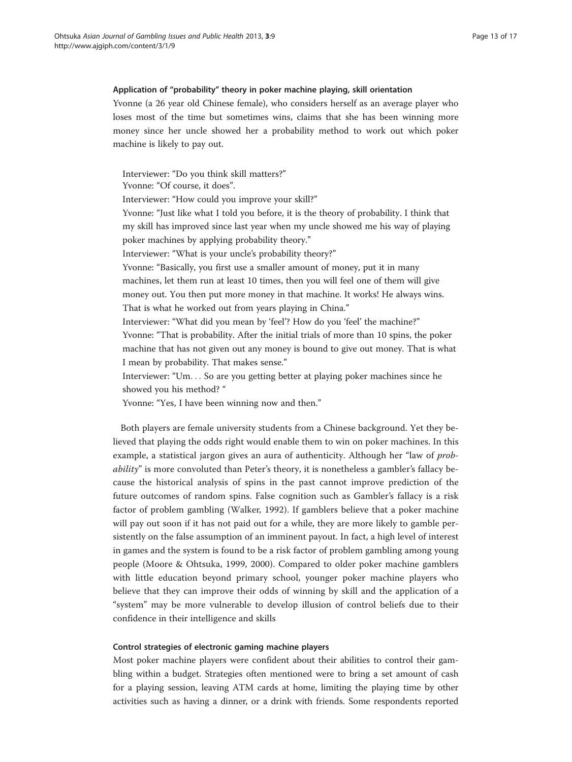#### Application of "probability" theory in poker machine playing, skill orientation

Yvonne (a 26 year old Chinese female), who considers herself as an average player who loses most of the time but sometimes wins, claims that she has been winning more money since her uncle showed her a probability method to work out which poker machine is likely to pay out.

Interviewer: "Do you think skill matters?" Yvonne: "Of course, it does". Interviewer: "How could you improve your skill?" Yvonne: "Just like what I told you before, it is the theory of probability. I think that my skill has improved since last year when my uncle showed me his way of playing poker machines by applying probability theory." Interviewer: "What is your uncle's probability theory?" Yvonne: "Basically, you first use a smaller amount of money, put it in many machines, let them run at least 10 times, then you will feel one of them will give money out. You then put more money in that machine. It works! He always wins. That is what he worked out from years playing in China." Interviewer: "What did you mean by 'feel'? How do you 'feel' the machine?" Yvonne: "That is probability. After the initial trials of more than 10 spins, the poker machine that has not given out any money is bound to give out money. That is what I mean by probability. That makes sense." Interviewer: "Um... So are you getting better at playing poker machines since he showed you his method? " Yvonne: "Yes, I have been winning now and then."

Both players are female university students from a Chinese background. Yet they believed that playing the odds right would enable them to win on poker machines. In this example, a statistical jargon gives an aura of authenticity. Although her "law of prob $ability"$  is more convoluted than Peter's theory, it is nonetheless a gambler's fallacy because the historical analysis of spins in the past cannot improve prediction of the future outcomes of random spins. False cognition such as Gambler's fallacy is a risk factor of problem gambling (Walker, [1992\)](#page-17-0). If gamblers believe that a poker machine will pay out soon if it has not paid out for a while, they are more likely to gamble persistently on the false assumption of an imminent payout. In fact, a high level of interest in games and the system is found to be a risk factor of problem gambling among young people (Moore & Ohtsuka, [1999](#page-17-0), [2000](#page-17-0)). Compared to older poker machine gamblers with little education beyond primary school, younger poker machine players who believe that they can improve their odds of winning by skill and the application of a "system" may be more vulnerable to develop illusion of control beliefs due to their confidence in their intelligence and skills

#### Control strategies of electronic gaming machine players

Most poker machine players were confident about their abilities to control their gambling within a budget. Strategies often mentioned were to bring a set amount of cash for a playing session, leaving ATM cards at home, limiting the playing time by other activities such as having a dinner, or a drink with friends. Some respondents reported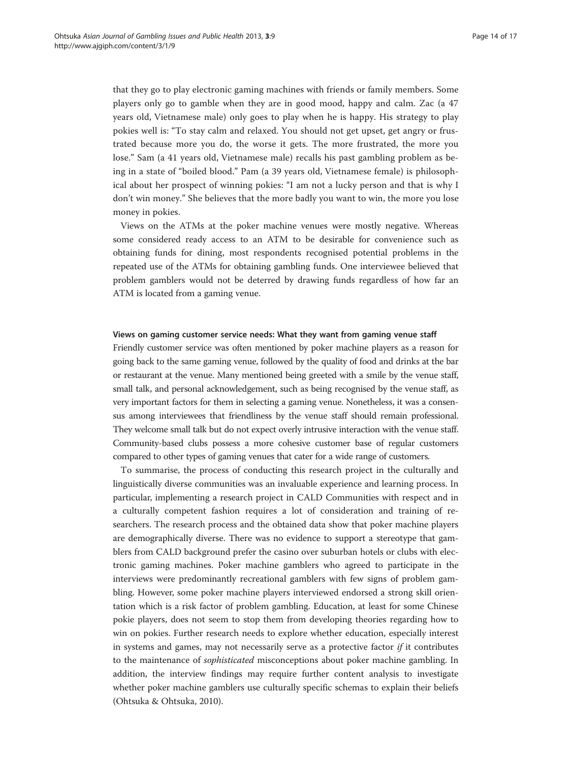that they go to play electronic gaming machines with friends or family members. Some players only go to gamble when they are in good mood, happy and calm. Zac (a 47 years old, Vietnamese male) only goes to play when he is happy. His strategy to play pokies well is: "To stay calm and relaxed. You should not get upset, get angry or frustrated because more you do, the worse it gets. The more frustrated, the more you lose." Sam (a 41 years old, Vietnamese male) recalls his past gambling problem as being in a state of "boiled blood." Pam (a 39 years old, Vietnamese female) is philosophical about her prospect of winning pokies: "I am not a lucky person and that is why I don't win money." She believes that the more badly you want to win, the more you lose money in pokies.

Views on the ATMs at the poker machine venues were mostly negative. Whereas some considered ready access to an ATM to be desirable for convenience such as obtaining funds for dining, most respondents recognised potential problems in the repeated use of the ATMs for obtaining gambling funds. One interviewee believed that problem gamblers would not be deterred by drawing funds regardless of how far an ATM is located from a gaming venue.

#### Views on gaming customer service needs: What they want from gaming venue staff

Friendly customer service was often mentioned by poker machine players as a reason for going back to the same gaming venue, followed by the quality of food and drinks at the bar or restaurant at the venue. Many mentioned being greeted with a smile by the venue staff, small talk, and personal acknowledgement, such as being recognised by the venue staff, as very important factors for them in selecting a gaming venue. Nonetheless, it was a consensus among interviewees that friendliness by the venue staff should remain professional. They welcome small talk but do not expect overly intrusive interaction with the venue staff. Community-based clubs possess a more cohesive customer base of regular customers compared to other types of gaming venues that cater for a wide range of customers.

To summarise, the process of conducting this research project in the culturally and linguistically diverse communities was an invaluable experience and learning process. In particular, implementing a research project in CALD Communities with respect and in a culturally competent fashion requires a lot of consideration and training of researchers. The research process and the obtained data show that poker machine players are demographically diverse. There was no evidence to support a stereotype that gamblers from CALD background prefer the casino over suburban hotels or clubs with electronic gaming machines. Poker machine gamblers who agreed to participate in the interviews were predominantly recreational gamblers with few signs of problem gambling. However, some poker machine players interviewed endorsed a strong skill orientation which is a risk factor of problem gambling. Education, at least for some Chinese pokie players, does not seem to stop them from developing theories regarding how to win on pokies. Further research needs to explore whether education, especially interest in systems and games, may not necessarily serve as a protective factor  $if$  it contributes to the maintenance of sophisticated misconceptions about poker machine gambling. In addition, the interview findings may require further content analysis to investigate whether poker machine gamblers use culturally specific schemas to explain their beliefs (Ohtsuka & Ohtsuka, [2010](#page-17-0)).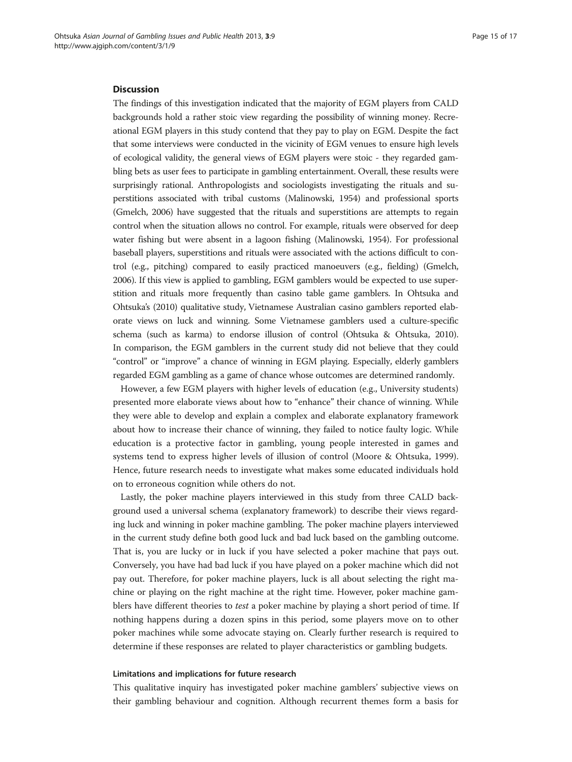#### Discussion

The findings of this investigation indicated that the majority of EGM players from CALD backgrounds hold a rather stoic view regarding the possibility of winning money. Recreational EGM players in this study contend that they pay to play on EGM. Despite the fact that some interviews were conducted in the vicinity of EGM venues to ensure high levels of ecological validity, the general views of EGM players were stoic - they regarded gambling bets as user fees to participate in gambling entertainment. Overall, these results were surprisingly rational. Anthropologists and sociologists investigating the rituals and superstitions associated with tribal customs (Malinowski, [1954](#page-17-0)) and professional sports (Gmelch, [2006](#page-16-0)) have suggested that the rituals and superstitions are attempts to regain control when the situation allows no control. For example, rituals were observed for deep water fishing but were absent in a lagoon fishing (Malinowski, [1954\)](#page-17-0). For professional baseball players, superstitions and rituals were associated with the actions difficult to control (e.g., pitching) compared to easily practiced manoeuvers (e.g., fielding) (Gmelch, [2006\)](#page-16-0). If this view is applied to gambling, EGM gamblers would be expected to use superstition and rituals more frequently than casino table game gamblers. In Ohtsuka and Ohtsuka's ([2010\)](#page-17-0) qualitative study, Vietnamese Australian casino gamblers reported elaborate views on luck and winning. Some Vietnamese gamblers used a culture-specific schema (such as karma) to endorse illusion of control (Ohtsuka & Ohtsuka, [2010](#page-17-0)). In comparison, the EGM gamblers in the current study did not believe that they could "control" or "improve" a chance of winning in EGM playing. Especially, elderly gamblers regarded EGM gambling as a game of chance whose outcomes are determined randomly.

However, a few EGM players with higher levels of education (e.g., University students) presented more elaborate views about how to "enhance" their chance of winning. While they were able to develop and explain a complex and elaborate explanatory framework about how to increase their chance of winning, they failed to notice faulty logic. While education is a protective factor in gambling, young people interested in games and systems tend to express higher levels of illusion of control (Moore & Ohtsuka, [1999](#page-17-0)). Hence, future research needs to investigate what makes some educated individuals hold on to erroneous cognition while others do not.

Lastly, the poker machine players interviewed in this study from three CALD background used a universal schema (explanatory framework) to describe their views regarding luck and winning in poker machine gambling. The poker machine players interviewed in the current study define both good luck and bad luck based on the gambling outcome. That is, you are lucky or in luck if you have selected a poker machine that pays out. Conversely, you have had bad luck if you have played on a poker machine which did not pay out. Therefore, for poker machine players, luck is all about selecting the right machine or playing on the right machine at the right time. However, poker machine gamblers have different theories to test a poker machine by playing a short period of time. If nothing happens during a dozen spins in this period, some players move on to other poker machines while some advocate staying on. Clearly further research is required to determine if these responses are related to player characteristics or gambling budgets.

#### Limitations and implications for future research

This qualitative inquiry has investigated poker machine gamblers' subjective views on their gambling behaviour and cognition. Although recurrent themes form a basis for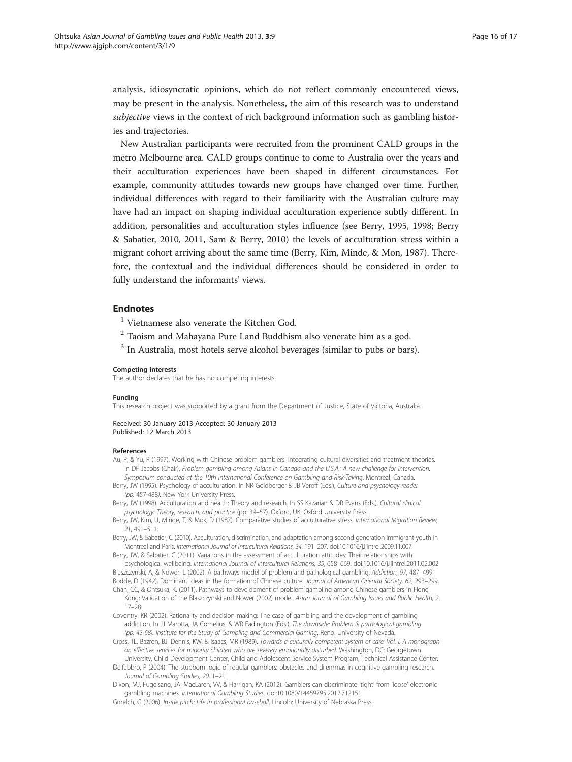<span id="page-16-0"></span>analysis, idiosyncratic opinions, which do not reflect commonly encountered views, may be present in the analysis. Nonetheless, the aim of this research was to understand subjective views in the context of rich background information such as gambling histories and trajectories.

New Australian participants were recruited from the prominent CALD groups in the metro Melbourne area. CALD groups continue to come to Australia over the years and their acculturation experiences have been shaped in different circumstances. For example, community attitudes towards new groups have changed over time. Further, individual differences with regard to their familiarity with the Australian culture may have had an impact on shaping individual acculturation experience subtly different. In addition, personalities and acculturation styles influence (see Berry, 1995, 1998; Berry & Sabatier, 2010, 2011, Sam & Berry, [2010\)](#page-17-0) the levels of acculturation stress within a migrant cohort arriving about the same time (Berry, Kim, Minde, & Mon, 1987). Therefore, the contextual and the individual differences should be considered in order to fully understand the informants' views.

#### Endnotes

- <sup>1</sup> Vietnamese also venerate the Kitchen God.
- $2$  Taoism and Mahayana Pure Land Buddhism also venerate him as a god.
- <sup>3</sup> In Australia, most hotels serve alcohol beverages (similar to pubs or bars).

#### Competing interests

The author declares that he has no competing interests.

#### Funding

This research project was supported by a grant from the Department of Justice, State of Victoria, Australia.

Received: 30 January 2013 Accepted: 30 January 2013 Published: 12 March 2013

#### References

- Au, P, & Yu, R (1997). Working with Chinese problem gamblers: Integrating cultural diversities and treatment theories. In DF Jacobs (Chair), Problem gambling among Asians in Canada and the U.S.A.: A new challenge for intervention.
- Symposium conducted at the 10th International Conference on Gambling and Risk-Taking. Montreal, Canada. Berry, JW (1995). Psychology of acculturation. In NR Goldberger & JB Veroff (Eds.), Culture and psychology reader (pp. 457-488). New York University Press.
- Berry, JW (1998). Acculturation and health: Theory and research. In SS Kazarian & DR Evans (Eds.), Cultural clinical psychology: Theory, research, and practice (pp. 39–57). Oxford, UK: Oxford University Press.
- Berry, JW, Kim, U, Minde, T, & Mok, D (1987). Comparative studies of acculturative stress. International Migration Review, 21, 491–511.
- Berry, JW, & Sabatier, C (2010). Acculturation, discrimination, and adaptation among second generation immigrant youth in Montreal and Paris. International Journal of Intercultural Relations, 34, 191–207. doi[:10.1016/j.ijintrel.2009.11.007](http://dx.doi.org/10.1016/j.ijintrel.2009.11.007)
- Berry, JW, & Sabatier, C (2011). Variations in the assessment of acculturation attitudes: Their relationships with

psychological wellbeing. International Journal of Intercultural Relations, 35, 658–669. doi[:10.1016/j.ijintrel.2011.02.002](http://dx.doi.org/10.1016/j.ijintrel.2011.02.002) Blaszczynski, A, & Nower, L (2002). A pathways model of problem and pathological gambling. Addiction, 97, 487–499. Bodde, D (1942). Dominant ideas in the formation of Chinese culture. Journal of American Oriental Society, 62, 293–299. Chan, CC, & Ohtsuka, K. (2011). Pathways to development of problem gambling among Chinese gamblers in Hong

- Kong: Validation of the Blaszczynski and Nower (2002) model. Asian Journal of Gambling Issues and Public Health, 2, 17–28.
- Coventry, KR (2002). Rationality and decision making: The case of gambling and the development of gambling addiction. In JJ Marotta, JA Cornelius, & WR Eadington (Eds.), The downside: Problem & pathological gambling (pp. 43-68). Institute for the Study of Gambling and Commercial Gaming. Reno: University of Nevada.
- Cross, TL, Bazron, BJ, Dennis, KW, & Isaacs, MR (1989). Towards a culturally competent system of care: Vol. I. A monograph on effective services for minority children who are severely emotionally disturbed. Washington, DC: Georgetown
- University, Child Development Center, Child and Adolescent Service System Program, Technical Assistance Center. Delfabbro, P (2004). The stubborn logic of regular gamblers: obstacles and dilemmas in cognitive gambling research. Journal of Gambling Studies, 20, 1–21.

Dixon, MJ, Fugelsang, JA, MacLaren, VV, & Harrigan, KA (2012). Gamblers can discriminate 'tight' from 'loose' electronic gambling machines. International Gambling Studies. doi[:10.1080/14459795.2012.712151](http://dx.doi.org/10.1080/14459795.2012.712151)

Gmelch, G (2006). Inside pitch: Life in professional baseball. Lincoln: University of Nebraska Press.